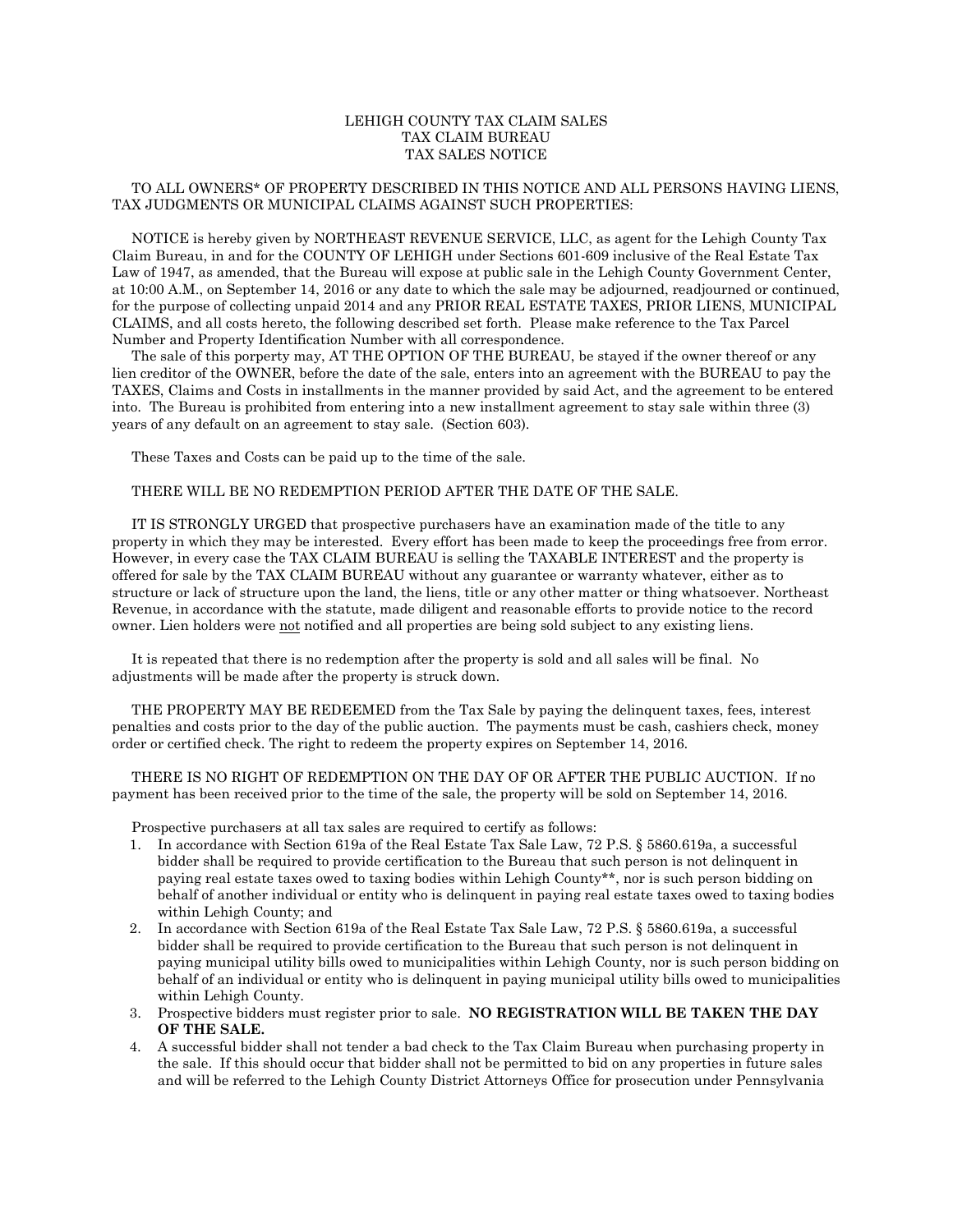## LEHIGH COUNTY TAX CLAIM SALES TAX CLAIM BUREAU TAX SALES NOTICE

### TO ALL OWNERS\* OF PROPERTY DESCRIBED IN THIS NOTICE AND ALL PERSONS HAVING LIENS, TAX JUDGMENTS OR MUNICIPAL CLAIMS AGAINST SUCH PROPERTIES:

 NOTICE is hereby given by NORTHEAST REVENUE SERVICE, LLC, as agent for the Lehigh County Tax Claim Bureau, in and for the COUNTY OF LEHIGH under Sections 601-609 inclusive of the Real Estate Tax Law of 1947, as amended, that the Bureau will expose at public sale in the Lehigh County Government Center, at 10:00 A.M., on September 14, 2016 or any date to which the sale may be adjourned, readjourned or continued, for the purpose of collecting unpaid 2014 and any PRIOR REAL ESTATE TAXES, PRIOR LIENS, MUNICIPAL CLAIMS, and all costs hereto, the following described set forth. Please make reference to the Tax Parcel Number and Property Identification Number with all correspondence.

 The sale of this porperty may, AT THE OPTION OF THE BUREAU, be stayed if the owner thereof or any lien creditor of the OWNER, before the date of the sale, enters into an agreement with the BUREAU to pay the TAXES, Claims and Costs in installments in the manner provided by said Act, and the agreement to be entered into. The Bureau is prohibited from entering into a new installment agreement to stay sale within three (3) years of any default on an agreement to stay sale. (Section 603).

These Taxes and Costs can be paid up to the time of the sale.

### THERE WILL BE NO REDEMPTION PERIOD AFTER THE DATE OF THE SALE.

 IT IS STRONGLY URGED that prospective purchasers have an examination made of the title to any property in which they may be interested. Every effort has been made to keep the proceedings free from error. However, in every case the TAX CLAIM BUREAU is selling the TAXABLE INTEREST and the property is offered for sale by the TAX CLAIM BUREAU without any guarantee or warranty whatever, either as to structure or lack of structure upon the land, the liens, title or any other matter or thing whatsoever. Northeast Revenue, in accordance with the statute, made diligent and reasonable efforts to provide notice to the record owner. Lien holders were not notified and all properties are being sold subject to any existing liens.

 It is repeated that there is no redemption after the property is sold and all sales will be final. No adjustments will be made after the property is struck down.

 THE PROPERTY MAY BE REDEEMED from the Tax Sale by paying the delinquent taxes, fees, interest penalties and costs prior to the day of the public auction. The payments must be cash, cashiers check, money order or certified check. The right to redeem the property expires on September 14, 2016.

 THERE IS NO RIGHT OF REDEMPTION ON THE DAY OF OR AFTER THE PUBLIC AUCTION. If no payment has been received prior to the time of the sale, the property will be sold on September 14, 2016.

Prospective purchasers at all tax sales are required to certify as follows:

- 1. In accordance with Section 619a of the Real Estate Tax Sale Law, 72 P.S. § 5860.619a, a successful bidder shall be required to provide certification to the Bureau that such person is not delinquent in paying real estate taxes owed to taxing bodies within Lehigh County\*\*, nor is such person bidding on behalf of another individual or entity who is delinquent in paying real estate taxes owed to taxing bodies within Lehigh County; and
- 2. In accordance with Section 619a of the Real Estate Tax Sale Law, 72 P.S. § 5860.619a, a successful bidder shall be required to provide certification to the Bureau that such person is not delinquent in paying municipal utility bills owed to municipalities within Lehigh County, nor is such person bidding on behalf of an individual or entity who is delinquent in paying municipal utility bills owed to municipalities within Lehigh County.
- 3. Prospective bidders must register prior to sale. **NO REGISTRATION WILL BE TAKEN THE DAY OF THE SALE.**
- 4. A successful bidder shall not tender a bad check to the Tax Claim Bureau when purchasing property in the sale. If this should occur that bidder shall not be permitted to bid on any properties in future sales and will be referred to the Lehigh County District Attorneys Office for prosecution under Pennsylvania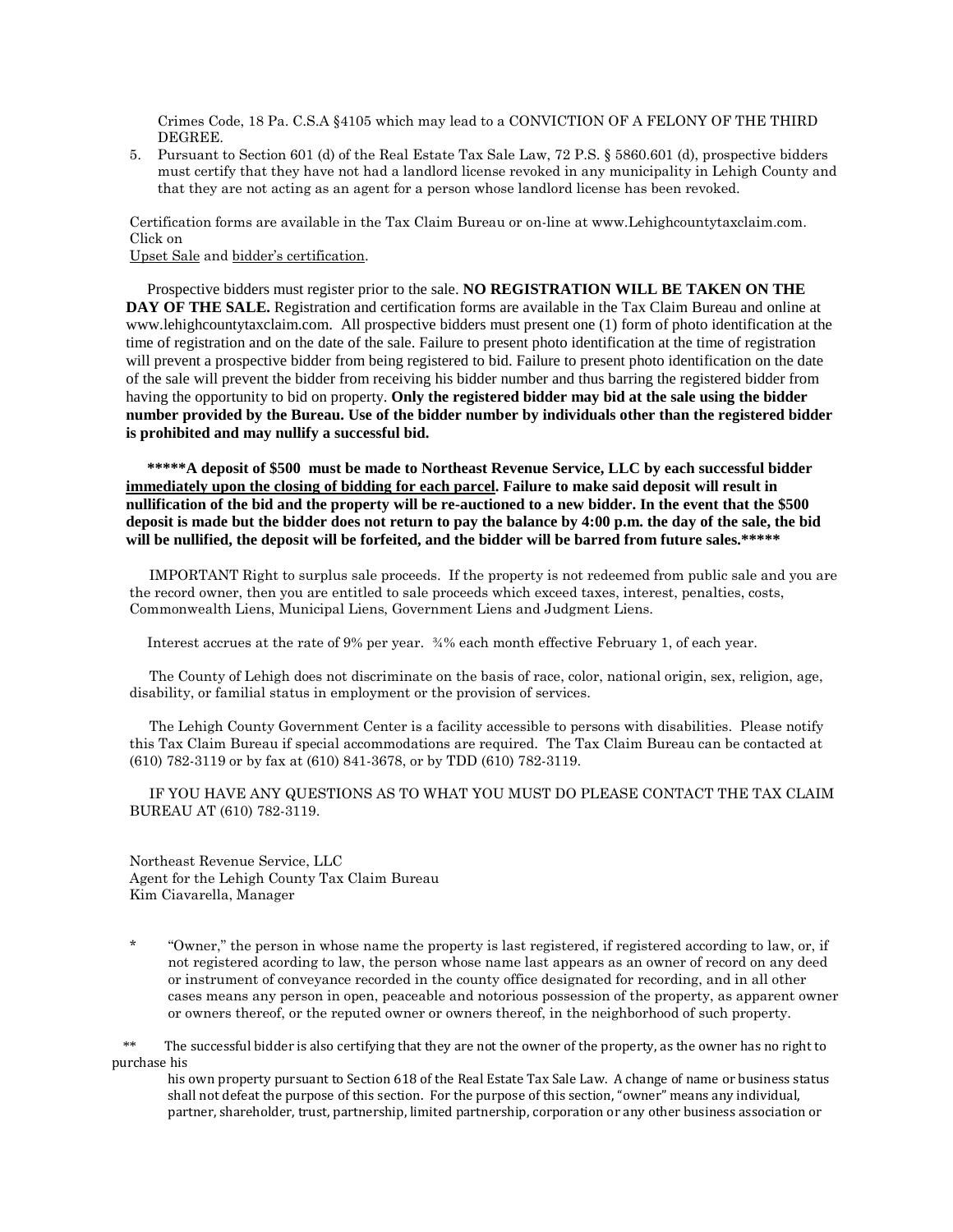Crimes Code, 18 Pa. C.S.A §4105 which may lead to a CONVICTION OF A FELONY OF THE THIRD DEGREE.

5. Pursuant to Section 601 (d) of the Real Estate Tax Sale Law, 72 P.S. § 5860.601 (d), prospective bidders must certify that they have not had a landlord license revoked in any municipality in Lehigh County and that they are not acting as an agent for a person whose landlord license has been revoked.

Certification forms are available in the Tax Claim Bureau or on-line at www.Lehighcountytaxclaim.com. Click on

#### Upset Sale and bidder's certification.

Prospective bidders must register prior to the sale. **NO REGISTRATION WILL BE TAKEN ON THE DAY OF THE SALE.** Registration and certification forms are available in the Tax Claim Bureau and online at www.lehighcountytaxclaim.com. All prospective bidders must present one (1) form of photo identification at the time of registration and on the date of the sale. Failure to present photo identification at the time of registration will prevent a prospective bidder from being registered to bid. Failure to present photo identification on the date of the sale will prevent the bidder from receiving his bidder number and thus barring the registered bidder from having the opportunity to bid on property. **Only the registered bidder may bid at the sale using the bidder number provided by the Bureau. Use of the bidder number by individuals other than the registered bidder is prohibited and may nullify a successful bid.**

**\*\*\*\*\*A deposit of \$500 must be made to Northeast Revenue Service, LLC by each successful bidder immediately upon the closing of bidding for each parcel. Failure to make said deposit will result in nullification of the bid and the property will be re-auctioned to a new bidder. In the event that the \$500 deposit is made but the bidder does not return to pay the balance by 4:00 p.m. the day of the sale, the bid will be nullified, the deposit will be forfeited, and the bidder will be barred from future sales.\*\*\*\*\***

 IMPORTANT Right to surplus sale proceeds. If the property is not redeemed from public sale and you are the record owner, then you are entitled to sale proceeds which exceed taxes, interest, penalties, costs, Commonwealth Liens, Municipal Liens, Government Liens and Judgment Liens.

Interest accrues at the rate of 9% per year. ¾% each month effective February 1, of each year.

 The County of Lehigh does not discriminate on the basis of race, color, national origin, sex, religion, age, disability, or familial status in employment or the provision of services.

 The Lehigh County Government Center is a facility accessible to persons with disabilities. Please notify this Tax Claim Bureau if special accommodations are required. The Tax Claim Bureau can be contacted at (610) 782-3119 or by fax at (610) 841-3678, or by TDD (610) 782-3119.

 IF YOU HAVE ANY QUESTIONS AS TO WHAT YOU MUST DO PLEASE CONTACT THE TAX CLAIM BUREAU AT (610) 782-3119.

Northeast Revenue Service, LLC Agent for the Lehigh County Tax Claim Bureau Kim Ciavarella, Manager

\* "Owner," the person in whose name the property is last registered, if registered according to law, or, if not registered acording to law, the person whose name last appears as an owner of record on any deed or instrument of conveyance recorded in the county office designated for recording, and in all other cases means any person in open, peaceable and notorious possession of the property, as apparent owner or owners thereof, or the reputed owner or owners thereof, in the neighborhood of such property.

 \*\* The successful bidder is also certifying that they are not the owner of the property, as the owner has no right to purchase his

his own property pursuant to Section 618 of the Real Estate Tax Sale Law. A change of name or business status shall not defeat the purpose of this section. For the purpose of this section, "owner" means any individual, partner, shareholder, trust, partnership, limited partnership, corporation or any other business association or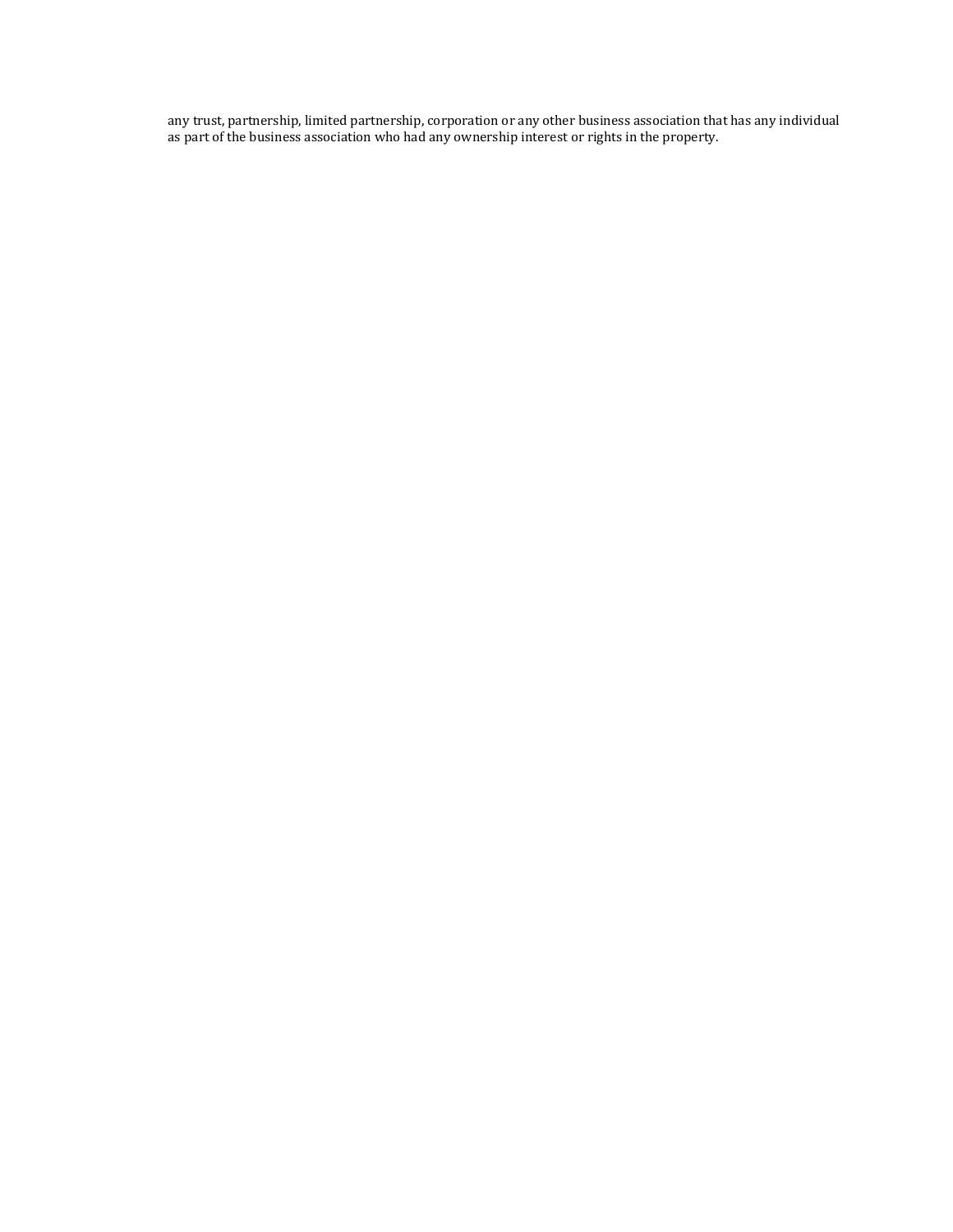any trust, partnership, limited partnership, corporation or any other business association that has any individual as part of the business association who had any ownership interest or rights in the property.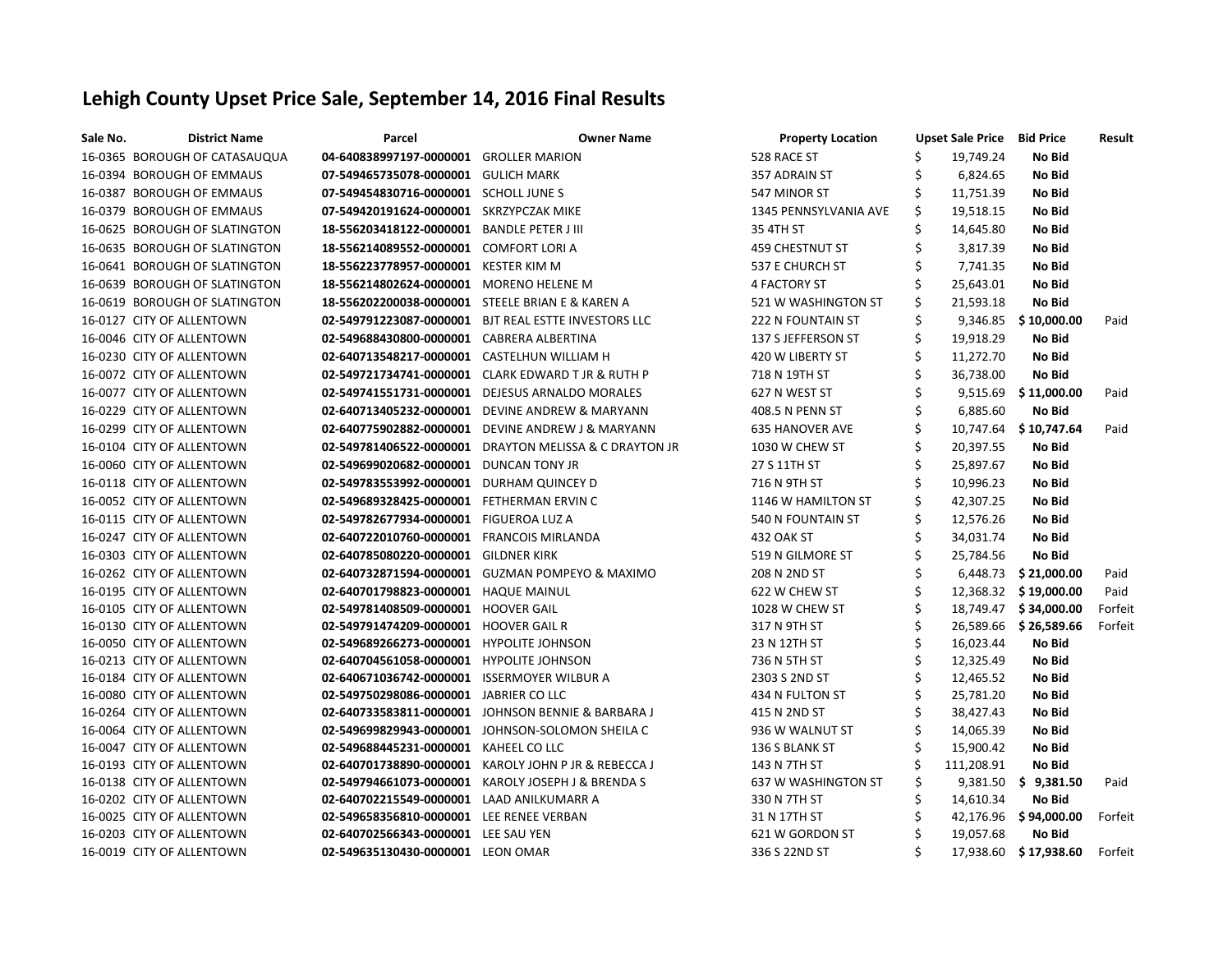# **Lehigh County Upset Price Sale, September 14, 2016 Final Results**

| Sale No. | <b>District Name</b>          | <b>Parcel</b>                            | <b>Owner Name</b>                     | <b>Property Location</b> | <b>Upset Sale Price Bid Price</b> |            |                          | Result  |
|----------|-------------------------------|------------------------------------------|---------------------------------------|--------------------------|-----------------------------------|------------|--------------------------|---------|
|          | 16-0365 BOROUGH OF CATASAUQUA | 04-640838997197-0000001 GROLLER MARION   |                                       | 528 RACE ST              |                                   | 19,749.24  | No Bid                   |         |
|          | 16-0394 BOROUGH OF EMMAUS     | 07-549465735078-0000001 GULICH MARK      |                                       | 357 ADRAIN ST            |                                   | 6,824.65   | No Bid                   |         |
|          | 16-0387 BOROUGH OF EMMAUS     | 07-549454830716-0000001 SCHOLL JUNE S    |                                       | 547 MINOR ST             | S                                 | 11,751.39  | No Bid                   |         |
|          | 16-0379 BOROUGH OF EMMAUS     | 07-549420191624-0000001                  | SKRZYPCZAK MIKE                       | 1345 PENNSYLVANIA AVE    | S                                 | 19,518.15  | No Bid                   |         |
|          | 16-0625 BOROUGH OF SLATINGTON | 18-556203418122-0000001                  | <b>BANDLE PETER J III</b>             | 35 4TH ST                |                                   | 14,645.80  | No Bid                   |         |
|          | 16-0635 BOROUGH OF SLATINGTON | 18-556214089552-0000001                  | <b>COMFORT LORI A</b>                 | 459 CHESTNUT ST          |                                   | 3,817.39   | No Bid                   |         |
|          | 16-0641 BOROUGH OF SLATINGTON | 18-556223778957-0000001                  | <b>KESTER KIM M</b>                   | 537 E CHURCH ST          | S                                 | 7,741.35   | No Bid                   |         |
|          | 16-0639 BOROUGH OF SLATINGTON | 18-556214802624-0000001                  | <b>MORENO HELENE M</b>                | <b>4 FACTORY ST</b>      |                                   | 25,643.01  | No Bid                   |         |
|          | 16-0619 BOROUGH OF SLATINGTON | 18-556202200038-0000001                  | STEELE BRIAN E & KAREN A              | 521 W WASHINGTON ST      | \$                                | 21,593.18  | No Bid                   |         |
|          | 16-0127 CITY OF ALLENTOWN     | 02-549791223087-0000001                  | BJT REAL ESTTE INVESTORS LLC          | <b>222 N FOUNTAIN ST</b> |                                   | 9,346.85   | \$10,000.00              | Paid    |
|          | 16-0046 CITY OF ALLENTOWN     | 02-549688430800-0000001                  | <b>CABRERA ALBERTINA</b>              | 137 S JEFFERSON ST       | Ś                                 | 19,918.29  | No Bid                   |         |
|          | 16-0230 CITY OF ALLENTOWN     | 02-640713548217-0000001                  | <b>CASTELHUN WILLIAM H</b>            | 420 W LIBERTY ST         |                                   | 11,272.70  | No Bid                   |         |
|          | 16-0072 CITY OF ALLENTOWN     | 02-549721734741-0000001                  | <b>CLARK EDWARD T JR &amp; RUTH P</b> | 718 N 19TH ST            |                                   | 36,738.00  | No Bid                   |         |
|          | 16-0077 CITY OF ALLENTOWN     | 02-549741551731-0000001                  | <b>DEJESUS ARNALDO MORALES</b>        | 627 N WEST ST            |                                   | 9,515.69   | \$11,000.00              | Paid    |
|          | 16-0229 CITY OF ALLENTOWN     | 02-640713405232-0000001                  | DEVINE ANDREW & MARYANN               | 408.5 N PENN ST          |                                   | 6,885.60   | No Bid                   |         |
|          | 16-0299 CITY OF ALLENTOWN     | 02-640775902882-0000001                  | DEVINE ANDREW J & MARYANN             | <b>635 HANOVER AVE</b>   |                                   | 10,747.64  | \$10,747.64              | Paid    |
|          | 16-0104 CITY OF ALLENTOWN     | 02-549781406522-0000001                  | DRAYTON MELISSA & C DRAYTON JR        | 1030 W CHEW ST           |                                   | 20,397.55  | No Bid                   |         |
|          | 16-0060 CITY OF ALLENTOWN     | 02-549699020682-0000001                  | <b>DUNCAN TONY JR</b>                 | 27 S 11TH ST             |                                   | 25,897.67  | No Bid                   |         |
|          | 16-0118 CITY OF ALLENTOWN     | 02-549783553992-0000001                  | DURHAM QUINCEY D                      | 716 N 9TH ST             |                                   | 10,996.23  | No Bid                   |         |
|          | 16-0052 CITY OF ALLENTOWN     | 02-549689328425-0000001                  | FETHERMAN ERVIN C                     | 1146 W HAMILTON ST       |                                   | 42,307.25  | No Bid                   |         |
|          | 16-0115 CITY OF ALLENTOWN     | 02-549782677934-0000001                  | <b>FIGUEROA LUZ A</b>                 | 540 N FOUNTAIN ST        |                                   | 12,576.26  | No Bid                   |         |
|          | 16-0247 CITY OF ALLENTOWN     | 02-640722010760-0000001                  | <b>FRANCOIS MIRLANDA</b>              | 432 OAK ST               |                                   | 34,031.74  | No Bid                   |         |
|          | 16-0303 CITY OF ALLENTOWN     | 02-640785080220-0000001                  | <b>GILDNER KIRK</b>                   | 519 N GILMORE ST         |                                   | 25,784.56  | No Bid                   |         |
|          | 16-0262 CITY OF ALLENTOWN     | 02-640732871594-0000001                  | <b>GUZMAN POMPEYO &amp; MAXIMO</b>    | 208 N 2ND ST             |                                   | 6,448.73   | \$21,000.00              | Paid    |
|          | 16-0195 CITY OF ALLENTOWN     | 02-640701798823-0000001                  | <b>HAQUE MAINUL</b>                   | 622 W CHEW ST            |                                   | 12,368.32  | \$19,000.00              | Paid    |
|          | 16-0105 CITY OF ALLENTOWN     | 02-549781408509-0000001                  | <b>HOOVER GAIL</b>                    | 1028 W CHEW ST           |                                   | 18,749.47  | \$34,000.00              | Forfeit |
|          | 16-0130 CITY OF ALLENTOWN     | 02-549791474209-0000001                  | <b>HOOVER GAIL R</b>                  | 317 N 9TH ST             |                                   |            | 26,589.66 \$26,589.66    | Forfeit |
|          | 16-0050 CITY OF ALLENTOWN     | 02-549689266273-0000001                  | <b>HYPOLITE JOHNSON</b>               | 23 N 12TH ST             |                                   | 16,023.44  | No Bid                   |         |
|          | 16-0213 CITY OF ALLENTOWN     | 02-640704561058-0000001                  | <b>HYPOLITE JOHNSON</b>               | 736 N 5TH ST             |                                   | 12,325.49  | No Bid                   |         |
|          | 16-0184 CITY OF ALLENTOWN     | 02-640671036742-0000001                  | <b>ISSERMOYER WILBUR A</b>            | 2303 S 2ND ST            |                                   | 12,465.52  | No Bid                   |         |
|          | 16-0080 CITY OF ALLENTOWN     | 02-549750298086-0000001                  | <b>JABRIER CO LLC</b>                 | 434 N FULTON ST          |                                   | 25,781.20  | <b>No Bid</b>            |         |
|          | 16-0264 CITY OF ALLENTOWN     | 02-640733583811-0000001                  | JOHNSON BENNIE & BARBARA J            | 415 N 2ND ST             |                                   | 38,427.43  | <b>No Bid</b>            |         |
|          | 16-0064 CITY OF ALLENTOWN     | 02-549699829943-0000001                  | JOHNSON-SOLOMON SHEILA C              | 936 W WALNUT ST          |                                   | 14,065.39  | No Bid                   |         |
|          | 16-0047 CITY OF ALLENTOWN     | 02-549688445231-0000001                  | KAHEEL CO LLC                         | 136 S BLANK ST           |                                   | 15,900.42  | No Bid                   |         |
|          | 16-0193 CITY OF ALLENTOWN     | 02-640701738890-0000001                  | KAROLY JOHN P JR & REBECCA J          | 143 N 7TH ST             |                                   | 111,208.91 | No Bid                   |         |
|          | 16-0138 CITY OF ALLENTOWN     | 02-549794661073-0000001                  | KAROLY JOSEPH J & BRENDA S            | 637 W WASHINGTON ST      |                                   |            | $9,381.50$ \$ $9,381.50$ | Paid    |
|          | 16-0202 CITY OF ALLENTOWN     | 02-640702215549-0000001                  | LAAD ANILKUMARR A                     | 330 N 7TH ST             |                                   | 14,610.34  | No Bid                   |         |
|          | 16-0025 CITY OF ALLENTOWN     | 02-549658356810-0000001 LEE RENEE VERBAN |                                       | 31 N 17TH ST             |                                   |            | 42,176.96 \$94,000.00    | Forfeit |
|          | 16-0203 CITY OF ALLENTOWN     | 02-640702566343-0000001 LEE SAU YEN      |                                       | 621 W GORDON ST          |                                   | 19,057.68  | No Bid                   |         |
|          | 16-0019 CITY OF ALLENTOWN     | 02-549635130430-0000001 LEON OMAR        |                                       | 336 S 22ND ST            |                                   |            | 17,938.60 \$17,938.60    | Forfeit |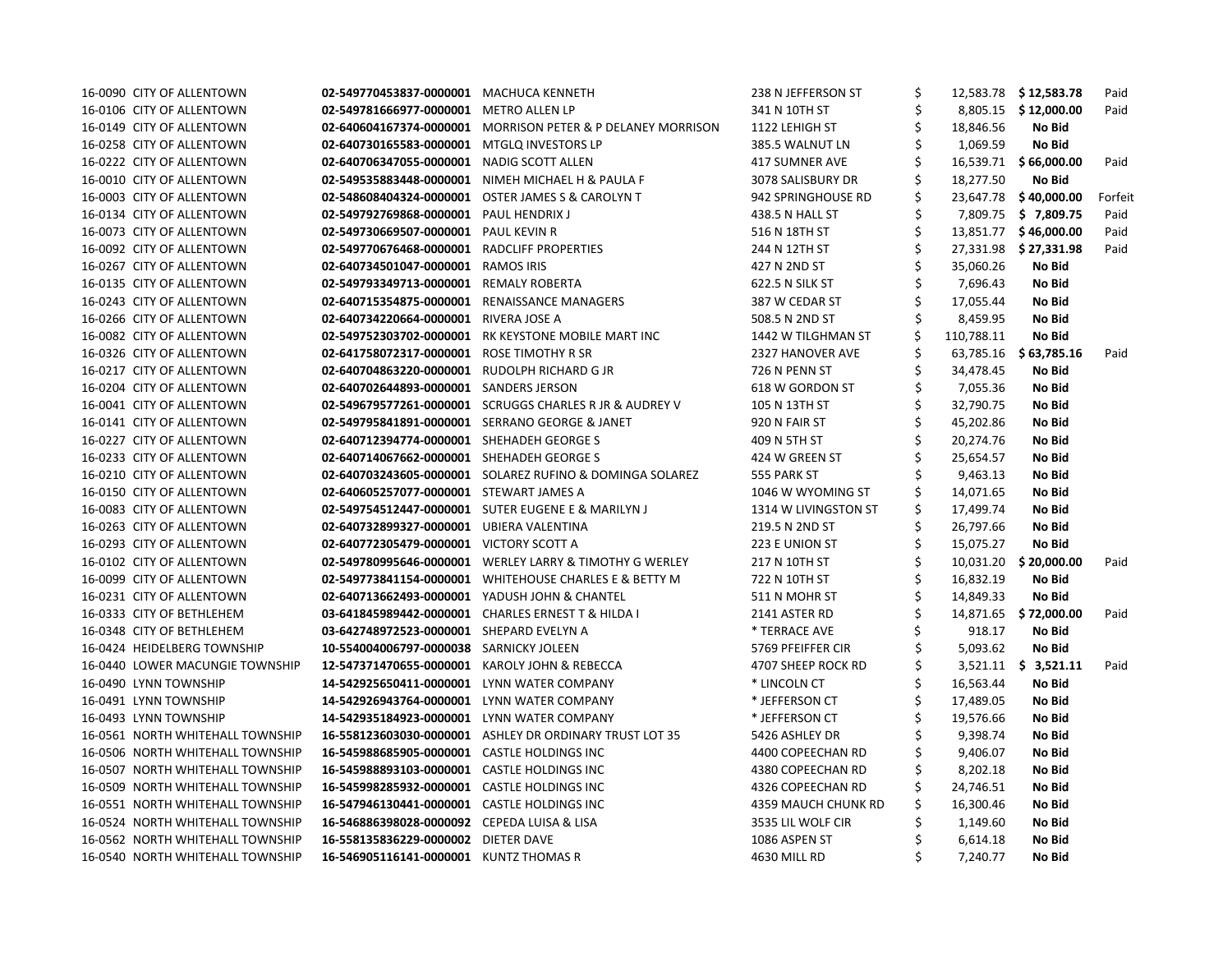| 16-0090 CITY OF ALLENTOWN        | 02-549770453837-0000001                       | <b>MACHUCA KENNETH</b>                                      | 238 N JEFFERSON ST   |            | 12,583.78 \$12,583.78  | Paid    |
|----------------------------------|-----------------------------------------------|-------------------------------------------------------------|----------------------|------------|------------------------|---------|
| 16-0106 CITY OF ALLENTOWN        | 02-549781666977-0000001                       | METRO ALLEN LP                                              | 341 N 10TH ST        |            | 8,805.15 \$12,000.00   | Paid    |
| 16-0149 CITY OF ALLENTOWN        |                                               | 02-640604167374-0000001 MORRISON PETER & P DELANEY MORRISON | 1122 LEHIGH ST       | 18,846.56  | No Bid                 |         |
| 16-0258 CITY OF ALLENTOWN        | 02-640730165583-0000001                       | <b>MTGLQ INVESTORS LP</b>                                   | 385.5 WALNUT LN      | 1,069.59   | No Bid                 |         |
| 16-0222 CITY OF ALLENTOWN        | 02-640706347055-0000001                       | <b>NADIG SCOTT ALLEN</b>                                    | 417 SUMNER AVE       |            | 16,539.71 \$66,000.00  | Paid    |
| 16-0010 CITY OF ALLENTOWN        | 02-549535883448-0000001                       | NIMEH MICHAEL H & PAULA F                                   | 3078 SALISBURY DR    | 18,277.50  | No Bid                 |         |
| 16-0003 CITY OF ALLENTOWN        | 02-548608404324-0000001                       | <b>OSTER JAMES S &amp; CAROLYN T</b>                        | 942 SPRINGHOUSE RD   |            | 23,647.78 \$40,000.00  | Forfeit |
| 16-0134 CITY OF ALLENTOWN        | 02-549792769868-0000001                       | <b>PAUL HENDRIX J</b>                                       | 438.5 N HALL ST      |            | 7,809.75 \$ 7,809.75   | Paid    |
| 16-0073 CITY OF ALLENTOWN        | 02-549730669507-0000001                       | PAUL KEVIN R                                                | 516 N 18TH ST        | 13,851.77  | \$ 46,000.00           | Paid    |
| 16-0092 CITY OF ALLENTOWN        | 02-549770676468-0000001                       | RADCLIFF PROPERTIES                                         | 244 N 12TH ST        |            | 27,331.98 \$27,331.98  | Paid    |
| 16-0267 CITY OF ALLENTOWN        | 02-640734501047-0000001                       | <b>RAMOS IRIS</b>                                           | 427 N 2ND ST         | 35,060.26  | No Bid                 |         |
| 16-0135 CITY OF ALLENTOWN        | 02-549793349713-0000001                       | <b>REMALY ROBERTA</b>                                       | 622.5 N SILK ST      | 7,696.43   | No Bid                 |         |
| 16-0243 CITY OF ALLENTOWN        | 02-640715354875-0000001                       | RENAISSANCE MANAGERS                                        | 387 W CEDAR ST       | 17,055.44  | No Bid                 |         |
| 16-0266 CITY OF ALLENTOWN        | 02-640734220664-0000001                       | RIVERA JOSE A                                               | 508.5 N 2ND ST       | 8,459.95   | No Bid                 |         |
| 16-0082 CITY OF ALLENTOWN        | 02-549752303702-0000001                       | RK KEYSTONE MOBILE MART INC                                 | 1442 W TILGHMAN ST   | 110,788.11 | No Bid                 |         |
| 16-0326 CITY OF ALLENTOWN        | 02-641758072317-0000001                       | ROSE TIMOTHY R SR                                           | 2327 HANOVER AVE     |            | 63,785.16 \$63,785.16  | Paid    |
| 16-0217 CITY OF ALLENTOWN        | 02-640704863220-0000001                       | RUDOLPH RICHARD G JR                                        | 726 N PENN ST        | 34,478.45  | No Bid                 |         |
| 16-0204 CITY OF ALLENTOWN        | 02-640702644893-0000001                       | <b>SANDERS JERSON</b>                                       | 618 W GORDON ST      | 7,055.36   | No Bid                 |         |
| 16-0041 CITY OF ALLENTOWN        | 02-549679577261-0000001                       | <b>SCRUGGS CHARLES R JR &amp; AUDREY V</b>                  | 105 N 13TH ST        | 32,790.75  | No Bid                 |         |
| 16-0141 CITY OF ALLENTOWN        |                                               | 02-549795841891-0000001 SERRANO GEORGE & JANET              | 920 N FAIR ST        | 45,202.86  | No Bid                 |         |
| 16-0227 CITY OF ALLENTOWN        | 02-640712394774-0000001 SHEHADEH GEORGE S     |                                                             | 409 N 5TH ST         | 20,274.76  | No Bid                 |         |
| 16-0233 CITY OF ALLENTOWN        | 02-640714067662-0000001 SHEHADEH GEORGE S     |                                                             | 424 W GREEN ST       | 25,654.57  | No Bid                 |         |
| 16-0210 CITY OF ALLENTOWN        | 02-640703243605-0000001                       | SOLAREZ RUFINO & DOMINGA SOLAREZ                            | 555 PARK ST          | 9,463.13   | No Bid                 |         |
| 16-0150 CITY OF ALLENTOWN        | 02-640605257077-0000001 STEWART JAMES A       |                                                             | 1046 W WYOMING ST    | 14,071.65  | <b>No Bid</b>          |         |
| 16-0083 CITY OF ALLENTOWN        |                                               | 02-549754512447-0000001 SUTER EUGENE E & MARILYN J          | 1314 W LIVINGSTON ST | 17,499.74  | No Bid                 |         |
| 16-0263 CITY OF ALLENTOWN        | 02-640732899327-0000001 UBIERA VALENTINA      |                                                             | 219.5 N 2ND ST       | 26,797.66  | No Bid                 |         |
| 16-0293 CITY OF ALLENTOWN        | 02-640772305479-0000001 VICTORY SCOTT A       |                                                             | 223 E UNION ST       | 15,075.27  | No Bid                 |         |
| 16-0102 CITY OF ALLENTOWN        | 02-549780995646-0000001                       | <b>WERLEY LARRY &amp; TIMOTHY G WERLEY</b>                  | 217 N 10TH ST        | 10,031.20  | \$20,000.00            | Paid    |
| 16-0099 CITY OF ALLENTOWN        |                                               | 02-549773841154-0000001 WHITEHOUSE CHARLES E & BETTY M      | 722 N 10TH ST        | 16,832.19  | No Bid                 |         |
| 16-0231 CITY OF ALLENTOWN        | 02-640713662493-0000001                       | YADUSH JOHN & CHANTEL                                       | 511 N MOHR ST        | 14,849.33  | No Bid                 |         |
| 16-0333 CITY OF BETHLEHEM        |                                               | 03-641845989442-0000001 CHARLES ERNEST T & HILDA I          | 2141 ASTER RD        |            | 14,871.65 \$72,000.00  | Paid    |
| 16-0348 CITY OF BETHLEHEM        | 03-642748972523-0000001 SHEPARD EVELYN A      |                                                             | * TERRACE AVE        | 918.17     | <b>No Bid</b>          |         |
| 16-0424 HEIDELBERG TOWNSHIP      | 10-554004006797-0000038 SARNICKY JOLEEN       |                                                             | 5769 PFEIFFER CIR    | 5,093.62   | No Bid                 |         |
| 16-0440 LOWER MACUNGIE TOWNSHIP  | 12-547371470655-0000001 KAROLY JOHN & REBECCA |                                                             | 4707 SHEEP ROCK RD   |            | $3,521.11$ \$ 3,521.11 | Paid    |
| 16-0490 LYNN TOWNSHIP            | 14-542925650411-0000001                       | LYNN WATER COMPANY                                          | * LINCOLN CT         | 16,563.44  | No Bid                 |         |
| 16-0491 LYNN TOWNSHIP            | 14-542926943764-0000001                       | LYNN WATER COMPANY                                          | * JEFFERSON CT       | 17,489.05  | No Bid                 |         |
| 16-0493 LYNN TOWNSHIP            | 14-542935184923-0000001 LYNN WATER COMPANY    |                                                             | * JEFFERSON CT       | 19,576.66  | No Bid                 |         |
| 16-0561 NORTH WHITEHALL TOWNSHIP | 16-558123603030-0000001                       | ASHLEY DR ORDINARY TRUST LOT 35                             | 5426 ASHLEY DR       | 9,398.74   | No Bid                 |         |
| 16-0506 NORTH WHITEHALL TOWNSHIP | 16-545988685905-0000001 CASTLE HOLDINGS INC   |                                                             | 4400 COPEECHAN RD    | 9,406.07   | <b>No Bid</b>          |         |
| 16-0507 NORTH WHITEHALL TOWNSHIP | 16-545988893103-0000001                       | <b>CASTLE HOLDINGS INC</b>                                  | 4380 COPEECHAN RD    | 8,202.18   | No Bid                 |         |
| 16-0509 NORTH WHITEHALL TOWNSHIP | 16-545998285932-0000001 CASTLE HOLDINGS INC   |                                                             | 4326 COPEECHAN RD    | 24,746.51  | No Bid                 |         |
| 16-0551 NORTH WHITEHALL TOWNSHIP | 16-547946130441-0000001                       | <b>CASTLE HOLDINGS INC</b>                                  | 4359 MAUCH CHUNK RD  | 16,300.46  | <b>No Bid</b>          |         |
| 16-0524 NORTH WHITEHALL TOWNSHIP | 16-546886398028-0000092                       | CEPEDA LUISA & LISA                                         | 3535 LIL WOLF CIR    | 1,149.60   | No Bid                 |         |
| 16-0562 NORTH WHITEHALL TOWNSHIP | 16-558135836229-0000002 DIETER DAVE           |                                                             | 1086 ASPEN ST        | 6,614.18   | No Bid                 |         |
| 16-0540 NORTH WHITEHALL TOWNSHIP | 16-546905116141-0000001 KUNTZ THOMAS R        |                                                             | 4630 MILL RD         | 7,240.77   | No Bid                 |         |